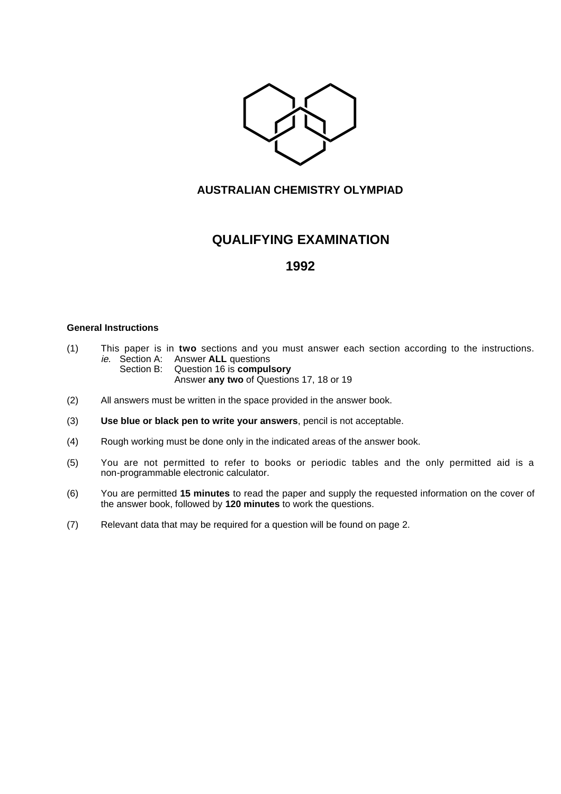

## **AUSTRALIAN CHEMISTRY OLYMPIAD**

# **QUALIFYING EXAMINATION**

## **1992**

### **General Instructions**

- (1) This paper is in **two** sections and you must answer each section according to the instructions. ie. Section A: Answer **ALL** questions
	- Section B: Question 16 is **compulsory** Answer **any two** of Questions 17, 18 or 19
- (2) All answers must be written in the space provided in the answer book.
- (3) **Use blue or black pen to write your answers**, pencil is not acceptable.
- (4) Rough working must be done only in the indicated areas of the answer book.
- (5) You are not permitted to refer to books or periodic tables and the only permitted aid is a non-programmable electronic calculator.
- (6) You are permitted **15 minutes** to read the paper and supply the requested information on the cover of the answer book, followed by **120 minutes** to work the questions.
- (7) Relevant data that may be required for a question will be found on page 2.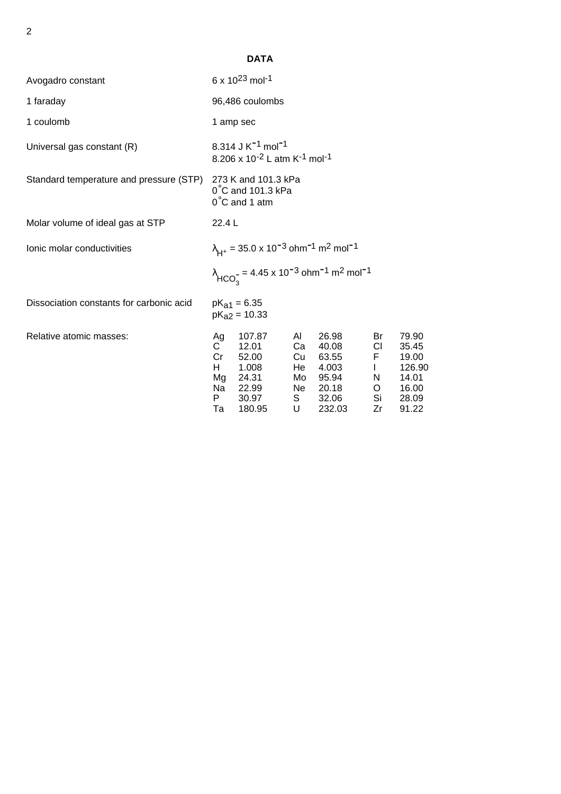|                                          |                                                                                                               | <b>DATA</b>                                                                                      |                                         |                                                                          |                                                        |                                                                       |
|------------------------------------------|---------------------------------------------------------------------------------------------------------------|--------------------------------------------------------------------------------------------------|-----------------------------------------|--------------------------------------------------------------------------|--------------------------------------------------------|-----------------------------------------------------------------------|
| Avogadro constant                        | 6 x $10^{23}$ mol <sup>-1</sup>                                                                               |                                                                                                  |                                         |                                                                          |                                                        |                                                                       |
| 1 faraday                                | 96,486 coulombs                                                                                               |                                                                                                  |                                         |                                                                          |                                                        |                                                                       |
| 1 coulomb                                | 1 amp sec                                                                                                     |                                                                                                  |                                         |                                                                          |                                                        |                                                                       |
| Universal gas constant (R)               | 8.314 J K <sup>-1</sup> mol <sup>-1</sup><br>8.206 x 10 <sup>-2</sup> L atm K <sup>-1</sup> mol <sup>-1</sup> |                                                                                                  |                                         |                                                                          |                                                        |                                                                       |
| Standard temperature and pressure (STP)  | 273 K and 101.3 kPa<br>$0^{\circ}$ C and 101.3 kPa<br>$0^{\circ}$ C and 1 atm                                 |                                                                                                  |                                         |                                                                          |                                                        |                                                                       |
| Molar volume of ideal gas at STP         | 22.4 L                                                                                                        |                                                                                                  |                                         |                                                                          |                                                        |                                                                       |
| Ionic molar conductivities               | $\lambda_{H^+}$ = 35.0 x 10 <sup>-3</sup> ohm <sup>-1</sup> m <sup>2</sup> mol <sup>-1</sup>                  |                                                                                                  |                                         |                                                                          |                                                        |                                                                       |
|                                          |                                                                                                               | $\lambda_{HCO_2^-}$ = 4.45 x 10 <sup>-3</sup> ohm <sup>-1</sup> m <sup>2</sup> mol <sup>-1</sup> |                                         |                                                                          |                                                        |                                                                       |
| Dissociation constants for carbonic acid |                                                                                                               | $pK_{a1} = 6.35$<br>$pK_{a2} = 10.33$                                                            |                                         |                                                                          |                                                        |                                                                       |
| Relative atomic masses:                  | Ag<br>$\mathsf{C}$<br>Cr<br>H<br>Mg<br>Na<br>P.<br>Та                                                         | 107.87<br>12.01<br>52.00<br>1.008<br>24.31<br>22.99<br>30.97<br>180.95                           | AI.<br>Ca<br>Cu<br>He<br>Mo<br>S —<br>U | 26.98<br>40.08<br>63.55<br>4.003<br>95.94<br>Ne 20.18<br>32.06<br>232.03 | Br<br>CI.<br>F.<br>$\mathbf{L}$<br>N.<br>O<br>Si<br>Zr | 79.90<br>35.45<br>19.00<br>126.90<br>14.01<br>16.00<br>28.09<br>91.22 |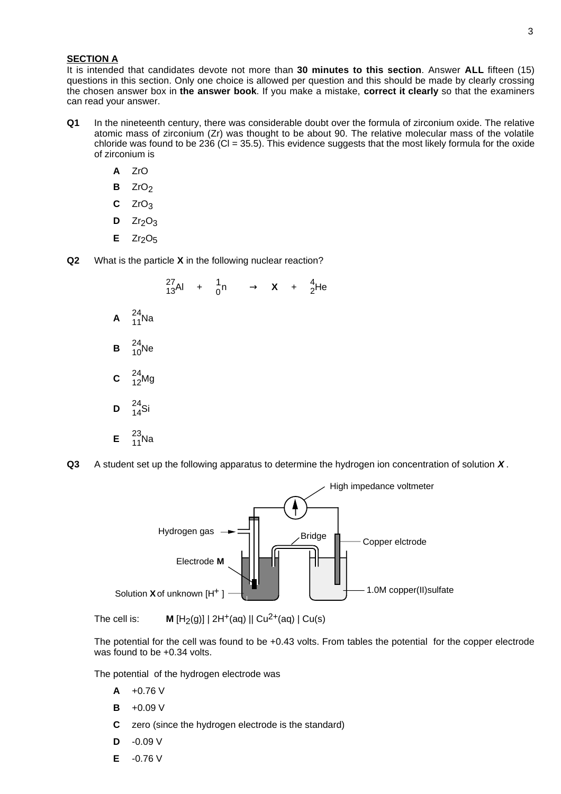#### **SECTION A**

It is intended that candidates devote not more than **30 minutes to this section**. Answer **ALL** fifteen (15) questions in this section. Only one choice is allowed per question and this should be made by clearly crossing the chosen answer box in **the answer book**. If you make a mistake, **correct it clearly** so that the examiners can read your answer.

- **Q1** In the nineteenth century, there was considerable doubt over the formula of zirconium oxide. The relative atomic mass of zirconium (Zr) was thought to be about 90. The relative molecular mass of the volatile chloride was found to be 236 (Cl = 35.5). This evidence suggests that the most likely formula for the oxide of zirconium is
	- **A** ZrO
	- **B** ZrO<sub>2</sub>
	- **C** ZrO3
	- $D$  Zr<sub>2</sub>O<sub>3</sub>
	- $E$  Zr<sub>2</sub>O<sub>5</sub>
- **Q2** What is the particle **X** in the following nuclear reaction?



**Q3** A student set up the following apparatus to determine the hydrogen ion concentration of solution **X** .



The cell is: **M**  $[H_2(q)] | 2H^+(aq) || Cu^{2+}(aq) | Cu(s)$ 

The potential for the cell was found to be +0.43 volts. From tables the potential for the copper electrode was found to be +0.34 volts.

The potential of the hydrogen electrode was

- **A** +0.76 V
- **B** +0.09 V
- **C** zero (since the hydrogen electrode is the standard)
- **D** -0.09 V
- **E** -0.76 V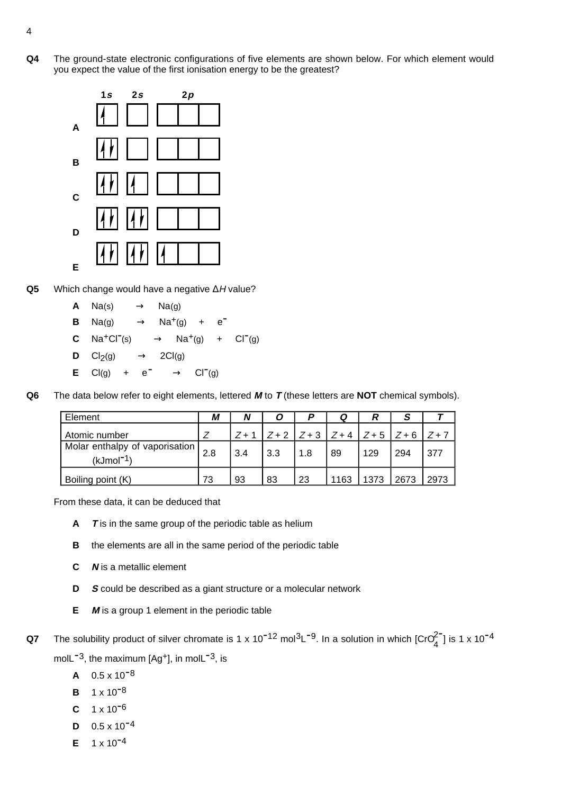**Q4** The ground-state electronic configurations of five elements are shown below. For which element would you expect the value of the first ionisation energy to be the greatest?



- **Q5** Which change would have a negative ∆H value?
	- **A** Na(s)  $\longrightarrow$  Na(g)
	- **B** Na(g)  $\longrightarrow$  Na<sup>+</sup>(g) + e<sup>-</sup>
	- **C**  $\text{Na}^+\text{Cl}^-(s) \longrightarrow \text{Na}^+(g) + \text{Cl}^-(g)$
	- **D**  $Cl_2(g) \longrightarrow 2Cl(g)$
	- **E** Cl(g) +  $e^ \longrightarrow$  Cl<sup>-</sup>(g)
- **Q6** The data below refer to eight elements, lettered **M** to **T** (these letters are **NOT** chemical symbols).

| Element                                         | М   | N     | O   |                                               | Q    | R    | S    |      |
|-------------------------------------------------|-----|-------|-----|-----------------------------------------------|------|------|------|------|
| Atomic number                                   |     | $Z+1$ |     | $Z+2$   $Z+3$   $Z+4$   $Z+5$   $Z+6$   $Z+7$ |      |      |      |      |
| Molar enthalpy of vaporisation  <br>$(kJmol-1)$ | 2.8 | 3.4   | 3.3 | 1.8                                           | 89   | 129  | 294  | 377  |
| Boiling point (K)                               | 73  | 93    | 83  | 23                                            | 1163 | 1373 | 2673 | 2973 |

From these data, it can be deduced that

- **A T** is in the same group of the periodic table as helium
- **B** the elements are all in the same period of the periodic table
- **C N** is a metallic element
- **D S** could be described as a giant structure or a molecular network
- **E M** is a group 1 element in the periodic table
- **Q7** The solubility product of silver chromate is 1 x 10<sup>-12</sup> mol<sup>3</sup>L<sup>-9</sup>. In a solution in which [CrO $_4^{2}$ ] is 1 x 10<sup>-4</sup> molL<sup> $-3$ </sup>, the maximum  $[Aq+1]$ , in molL $-3$ , is
	- $A = 0.5 \times 10^{-8}$
	- **B**  $1 \times 10^{-8}$
	- $C = 1 \times 10^{-6}$
	- $D = 0.5 \times 10^{-4}$
	- **E**  $1 \times 10^{-4}$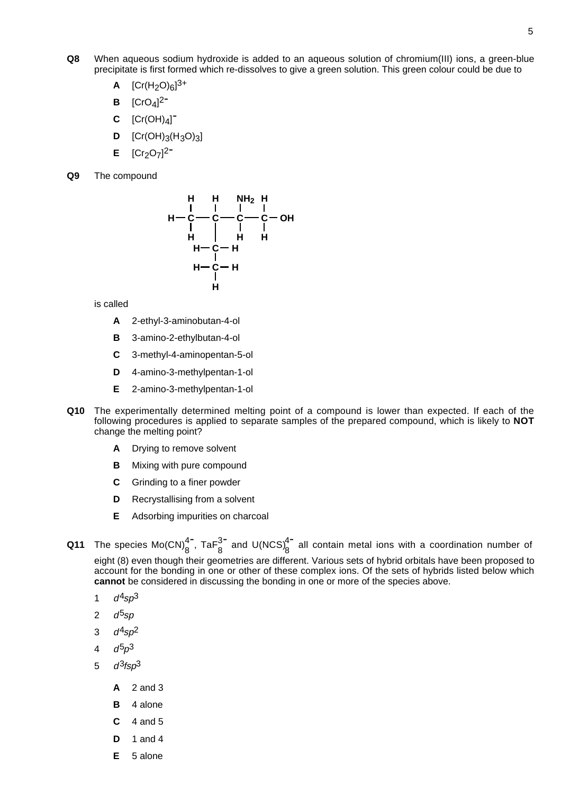- **Q8** When aqueous sodium hydroxide is added to an aqueous solution of chromium(III) ions, a green-blue precipitate is first formed which re-dissolves to give a green solution. This green colour could be due to
	- **A**  $[Cr(H<sub>2</sub>O)<sub>6</sub>]^{3+}$
	- **B**  $[CrO<sub>4</sub>]<sup>2</sup>$
	- $C$   $[Cr(OH)_4]$ <sup>-</sup>
	- **D**  $[Cr(OH)_{3}(H_{3}O)_{3}]$
	- **E**  $[Cr_2O_7]^2$
- **Q9** The compound



is called

- **A** 2-ethyl-3-aminobutan-4-ol
- **B** 3-amino-2-ethylbutan-4-ol
- **C** 3-methyl-4-aminopentan-5-ol
- **D** 4-amino-3-methylpentan-1-ol
- **E** 2-amino-3-methylpentan-1-ol
- **Q10** The experimentally determined melting point of a compound is lower than expected. If each of the following procedures is applied to separate samples of the prepared compound, which is likely to **NOT** change the melting point?
	- **A** Drying to remove solvent
	- **B** Mixing with pure compound
	- **C** Grinding to a finer powder
	- **D** Recrystallising from a solvent
	- **E** Adsorbing impurities on charcoal
- **Q11** The species Mo(CN) $_8^{4-}$ , Ta $F_8^{3-}$  and U(NCS) $_8^{4-}$  all contain metal ions with a coordination number of eight (8) even though their geometries are different. Various sets of hybrid orbitals have been proposed to account for the bonding in one or other of these complex ions. Of the sets of hybrids listed below which **cannot** be considered in discussing the bonding in one or more of the species above.
	- 1  $d^4 \text{sp}^3$
	- 2  $d^5sp$
	- 3  $d^4sp^2$
	- 4  $d^{5}p^{3}$
	- 5  $d^3$ fsp<sup>3</sup>
		- **A** 2 and 3
		- **B** 4 alone
		- **C** 4 and 5
		- **D** 1 and 4
		- **E** 5 alone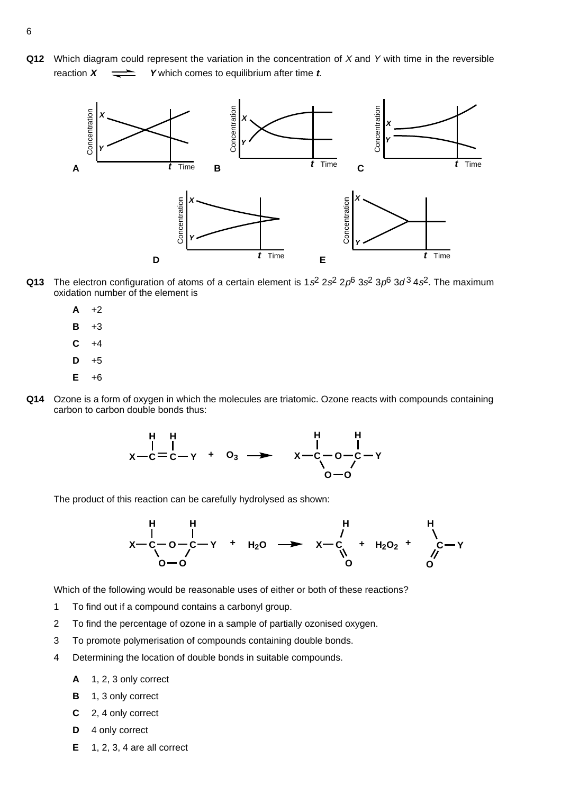**Q12** Which diagram could represent the variation in the concentration of X and Y with time in the reversible reaction  $X = \rightarrow Y$  which comes to equilibrium after time  $t$ .



- **Q13** The electron configuration of atoms of a certain element is  $1s^2 2s^2 2p^6 3s^2 3p^6 3d^3 4s^2$ . The maximum oxidation number of the element is
	- $A +2$
	- **B** +3
	- $C + 4$
	- $D + 5$
	- **E** +6
- **Q14** Ozone is a form of oxygen in which the molecules are triatomic. Ozone reacts with compounds containing carbon to carbon double bonds thus:

$$
\begin{array}{cccc}\nH & H & H & H \\
& | & | & | & \n\end{array}
$$
\n
$$
x - c = c - Y + 0_3 \longrightarrow\n\begin{array}{cccc}\nH & H & H \\
& | & | & \n\end{array}
$$
\n
$$
x - c - 0 - c - Y
$$
\n
$$
0 - 0
$$

The product of this reaction can be carefully hydrolysed as shown:



Which of the following would be reasonable uses of either or both of these reactions?

- 1 To find out if a compound contains a carbonyl group.
- 2 To find the percentage of ozone in a sample of partially ozonised oxygen.
- 3 To promote polymerisation of compounds containing double bonds.
- 4 Determining the location of double bonds in suitable compounds.
	- **A** 1, 2, 3 only correct
	- **B** 1, 3 only correct
	- **C** 2, 4 only correct
	- **D** 4 only correct
	- **E** 1, 2, 3, 4 are all correct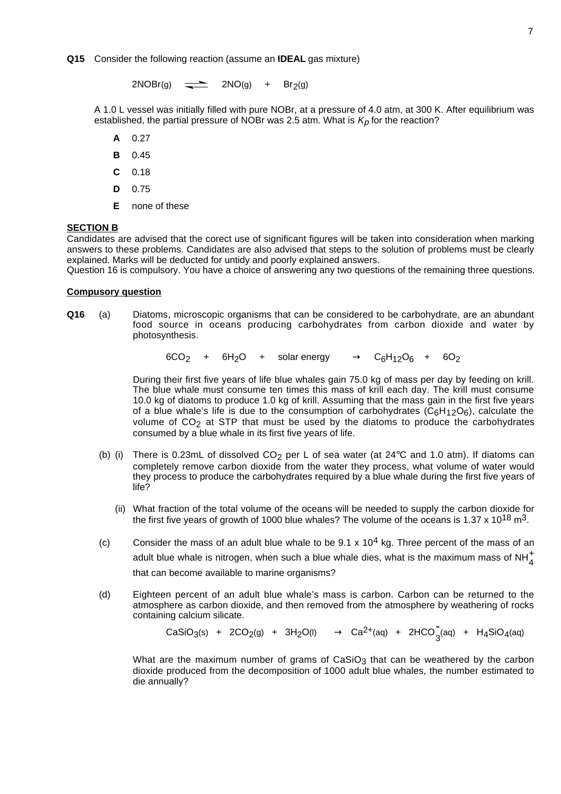$2NOBr(g)$   $\longrightarrow$   $2NO(g)$  + Br<sub>2</sub>(g)

A 1.0 L vessel was initially filled with pure NOBr, at a pressure of 4.0 atm, at 300 K. After equilibrium was established, the partial pressure of NOBr was 2.5 atm. What is  $K_p$  for the reaction?

- **A** 0.27
- **B** 0.45
- **C** 0.18
- **D** 0.75
- **E** none of these

#### **SECTION B**

Candidates are advised that the corect use of significant figures will be taken into consideration when marking answers to these problems. Candidates are also advised that steps to the solution of problems must be clearly explained. Marks will be deducted for untidy and poorly explained answers.

Question 16 is compulsory. You have a choice of answering any two questions of the remaining three questions.

#### **Compusory question**

**Q16** (a) Diatoms, microscopic organisms that can be considered to be carbohydrate, are an abundant food source in oceans producing carbohydrates from carbon dioxide and water by photosynthesis.

 $6CO<sub>2</sub>$  +  $6H<sub>2</sub>O$  + solar energy  $\longrightarrow$  C<sub>6</sub>H<sub>12</sub>O<sub>6</sub> + 6O<sub>2</sub>

During their first five years of life blue whales gain 75.0 kg of mass per day by feeding on krill. The blue whale must consume ten times this mass of krill each day. The krill must consume 10.0 kg of diatoms to produce 1.0 kg of krill. Assuming that the mass gain in the first five years of a blue whale's life is due to the consumption of carbohydrates  $(C_6H_{12}O_6)$ , calculate the volume of  $CO<sub>2</sub>$  at STP that must be used by the diatoms to produce the carbohydrates consumed by a blue whale in its first five years of life.

- (b) (i) There is 0.23mL of dissolved  $CO<sub>2</sub>$  per L of sea water (at 24 $\degree$ C and 1.0 atm). If diatoms can completely remove carbon dioxide from the water they process, what volume of water would they process to produce the carbohydrates required by a blue whale during the first five years of life?
	- (ii) What fraction of the total volume of the oceans will be needed to supply the carbon dioxide for the first five years of growth of 1000 blue whales? The volume of the oceans is 1.37 x 10<sup>18</sup> m<sup>3</sup>.
- (c) Consider the mass of an adult blue whale to be  $9.1 \times 10^4$  kg. Three percent of the mass of an adult blue whale is nitrogen, when such a blue whale dies, what is the maximum mass of NH $^+_4$ that can become available to marine organisms?
- (d) Eighteen percent of an adult blue whale's mass is carbon. Carbon can be returned to the atmosphere as carbon dioxide, and then removed from the atmosphere by weathering of rocks containing calcium silicate.

 $\overline{C}$ aSiO<sub>3</sub>(s) + 2CO<sub>2</sub>(g) + 3H<sub>2</sub>O(l) → Ca<sup>2+</sup>(aq) + 2HCO<sub>3</sub>(aq) + H<sub>4</sub>SiO<sub>4</sub>(aq)

What are the maximum number of grams of  $CaSiO<sub>3</sub>$  that can be weathered by the carbon dioxide produced from the decomposition of 1000 adult blue whales, the number estimated to die annually?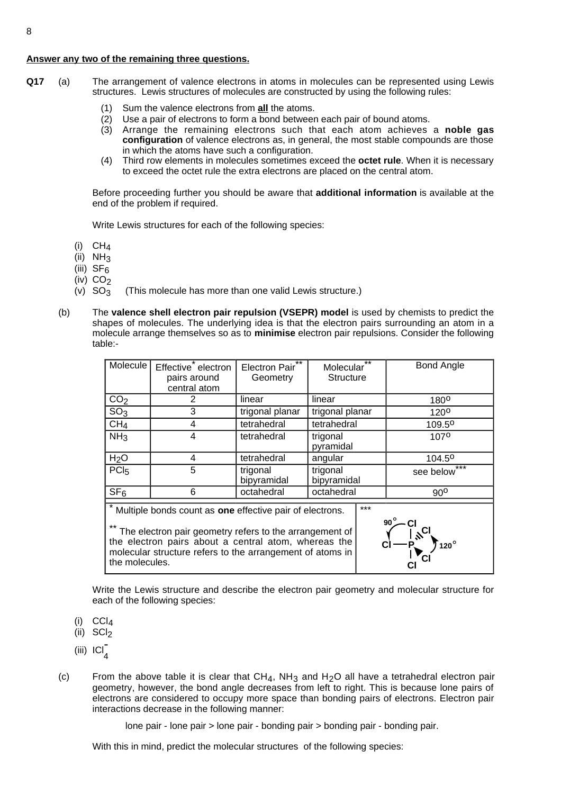### **Answer any two of the remaining three questions.**

- **Q17** (a) The arrangement of valence electrons in atoms in molecules can be represented using Lewis structures. Lewis structures of molecules are constructed by using the following rules:
	- (1) Sum the valence electrons from **all** the atoms.
	- (2) Use a pair of electrons to form a bond between each pair of bound atoms.
	- (3) Arrange the remaining electrons such that each atom achieves a **noble gas configuration** of valence electrons as, in general, the most stable compounds are those in which the atoms have such a configuration.
	- (4) Third row elements in molecules sometimes exceed the **octet rule**. When it is necessary to exceed the octet rule the extra electrons are placed on the central atom.

Before proceeding further you should be aware that **additional information** is available at the end of the problem if required.

Write Lewis structures for each of the following species:

- (i)  $CH<sub>A</sub>$
- $(ii)$  NH<sub>3</sub>
- (iii)  $SF<sub>6</sub>$
- (iv)  $CO_2$ <br>(v)  $SO_3$
- (This molecule has more than one valid Lewis structure.)
- (b) The **valence shell electron pair repulsion (VSEPR) model** is used by chemists to predict the shapes of molecules. The underlying idea is that the electron pairs surrounding an atom in a molecule arrange themselves so as to **minimise** electron pair repulsions. Consider the following table:-

| Molecule                                                                                                                                                                                                                                                                          | Effective electron<br>pairs around<br>central atom | Electron Pair**<br>Geometry | $***$<br>Molecular<br><b>Structure</b> | <b>Bond Angle</b>  |  |  |
|-----------------------------------------------------------------------------------------------------------------------------------------------------------------------------------------------------------------------------------------------------------------------------------|----------------------------------------------------|-----------------------------|----------------------------------------|--------------------|--|--|
| CO <sub>2</sub>                                                                                                                                                                                                                                                                   | 2                                                  | linear                      | linear                                 | 180 <sup>o</sup>   |  |  |
| SO <sub>3</sub>                                                                                                                                                                                                                                                                   | 3                                                  | trigonal planar             | trigonal planar                        | $120^{o}$          |  |  |
| CH <sub>4</sub>                                                                                                                                                                                                                                                                   | 4                                                  | tetrahedral                 | tetrahedral                            | 109.5 <sup>o</sup> |  |  |
| NH <sub>3</sub>                                                                                                                                                                                                                                                                   | 4                                                  | tetrahedral                 | trigonal<br>pyramidal                  | 1070               |  |  |
| H <sub>2</sub> O                                                                                                                                                                                                                                                                  | 4                                                  | tetrahedral                 | angular                                | 104.5 <sup>o</sup> |  |  |
| PC <sub>I5</sub>                                                                                                                                                                                                                                                                  | 5                                                  | trigonal<br>bipyramidal     | trigonal<br>bipyramidal                | ***<br>see below   |  |  |
| $\overline{\text{SF}}_6$                                                                                                                                                                                                                                                          | 6                                                  | octahedral                  | octahedral                             | $90^{\circ}$       |  |  |
| $***$<br>Multiple bonds count as one effective pair of electrons.<br>$90^\circ$<br>The electron pair geometry refers to the arrangement of<br>the electron pairs about a central atom, whereas the<br>molecular structure refers to the arrangement of atoms in<br>the molecules. |                                                    |                             |                                        |                    |  |  |

Write the Lewis structure and describe the electron pair geometry and molecular structure for each of the following species:

- $(i)$  CCl<sub>4</sub>
- $(ii)$  SCI<sub>2</sub>
- (iii)  $ICI_4^-$
- (c) From the above table it is clear that  $CH<sub>4</sub>$ , NH<sub>3</sub> and H<sub>2</sub>O all have a tetrahedral electron pair geometry, however, the bond angle decreases from left to right. This is because lone pairs of electrons are considered to occupy more space than bonding pairs of electrons. Electron pair interactions decrease in the following manner:

lone pair - lone pair > lone pair - bonding pair > bonding pair - bonding pair.

With this in mind, predict the molecular structures of the following species: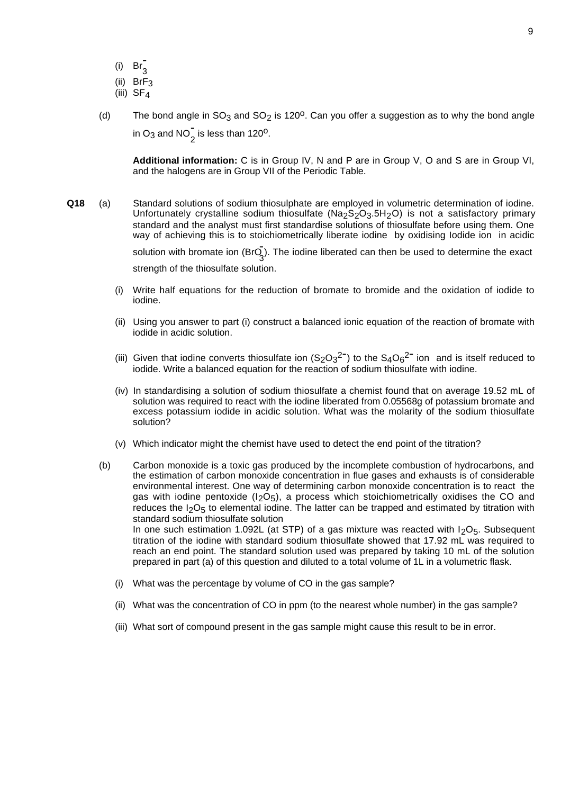- (i)  $\operatorname{Br}_3^-$
- $(ii)$  BrF<sub>3</sub>
- (iii)  $SF<sub>4</sub>$
- (d) The bond angle in  $SO_3$  and  $SO_2$  is 120<sup>o</sup>. Can you offer a suggestion as to why the bond angle in O<sub>3</sub> and NO<sub>2</sub> is less than 120<sup>o</sup>.

**Additional information:** C is in Group IV, N and P are in Group V, O and S are in Group VI, and the halogens are in Group VII of the Periodic Table.

- **Q18** (a) Standard solutions of sodium thiosulphate are employed in volumetric determination of iodine. Unfortunately crystalline sodium thiosulfate ( $Na<sub>2</sub>S<sub>2</sub>O<sub>3</sub>5H<sub>2</sub>O$ ) is not a satisfactory primary standard and the analyst must first standardise solutions of thiosulfate before using them. One way of achieving this is to stoichiometrically liberate iodine by oxidising lodide ion in acidic solution with bromate ion  $(Br\overline{Q_3})$ . The iodine liberated can then be used to determine the exact strength of the thiosulfate solution.
	- (i) Write half equations for the reduction of bromate to bromide and the oxidation of iodide to iodine.
	- (ii) Using you answer to part (i) construct a balanced ionic equation of the reaction of bromate with iodide in acidic solution.
	- (iii) Given that iodine converts thiosulfate ion  $(S_2O_3^2)$  to the  $S_4O_6^2$  ion and is itself reduced to iodide. Write a balanced equation for the reaction of sodium thiosulfate with iodine.
	- (iv) In standardising a solution of sodium thiosulfate a chemist found that on average 19.52 mL of solution was required to react with the iodine liberated from 0.05568g of potassium bromate and excess potassium iodide in acidic solution. What was the molarity of the sodium thiosulfate solution?
	- (v) Which indicator might the chemist have used to detect the end point of the titration?
	- (b) Carbon monoxide is a toxic gas produced by the incomplete combustion of hydrocarbons, and the estimation of carbon monoxide concentration in flue gases and exhausts is of considerable environmental interest. One way of determining carbon monoxide concentration is to react the gas with iodine pentoxide  $(I_2O_5)$ , a process which stoichiometrically oxidises the CO and reduces the  $I_2O_5$  to elemental iodine. The latter can be trapped and estimated by titration with standard sodium thiosulfate solution In one such estimation 1.092L (at STP) of a gas mixture was reacted with  $I_2O_5$ . Subsequent titration of the iodine with standard sodium thiosulfate showed that 17.92 mL was required to reach an end point. The standard solution used was prepared by taking 10 mL of the solution prepared in part (a) of this question and diluted to a total volume of 1L in a volumetric flask.
		- (i) What was the percentage by volume of CO in the gas sample?
		- (ii) What was the concentration of CO in ppm (to the nearest whole number) in the gas sample?
		- (iii) What sort of compound present in the gas sample might cause this result to be in error.